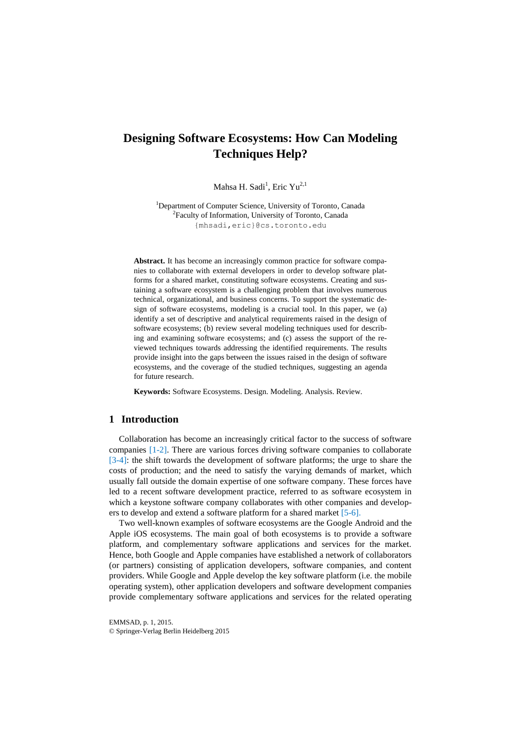# **Designing Software Ecosystems: How Can Modeling Techniques Help?**

Mahsa H. Sadi<sup>1</sup>, Eric Yu<sup>2,1</sup>

<sup>1</sup>Department of Computer Science, University of Toronto, Canada <sup>2</sup> Faculty of Information, University of Toronto, Canada {mhsadi,eric}@cs.toronto.edu

**Abstract.** It has become an increasingly common practice for software companies to collaborate with external developers in order to develop software platforms for a shared market, constituting software ecosystems. Creating and sustaining a software ecosystem is a challenging problem that involves numerous technical, organizational, and business concerns. To support the systematic design of software ecosystems, modeling is a crucial tool. In this paper, we (a) identify a set of descriptive and analytical requirements raised in the design of software ecosystems; (b) review several modeling techniques used for describing and examining software ecosystems; and (c) assess the support of the reviewed techniques towards addressing the identified requirements. The results provide insight into the gaps between the issues raised in the design of software ecosystems, and the coverage of the studied techniques, suggesting an agenda for future research.

**Keywords:** Software Ecosystems. Design. Modeling. Analysis. Review.

# **1 Introduction**

Collaboration has become an increasingly critical factor to the success of software companies [1-2]. There are various forces driving software companies to collaborate [3-4]: the shift towards the development of software platforms; the urge to share the costs of production; and the need to satisfy the varying demands of market, which usually fall outside the domain expertise of one software company. These forces have led to a recent software development practice, referred to as software ecosystem in which a keystone software company collaborates with other companies and developers to develop and extend a software platform for a shared market [5-6].

Two well-known examples of software ecosystems are the Google Android and the Apple iOS ecosystems. The main goal of both ecosystems is to provide a software platform, and complementary software applications and services for the market. Hence, both Google and Apple companies have established a network of collaborators (or partners) consisting of application developers, software companies, and content providers. While Google and Apple develop the key software platform (i.e. the mobile operating system), other application developers and software development companies provide complementary software applications and services for the related operating

EMMSAD, p. 1, 2015. © Springer-Verlag Berlin Heidelberg 2015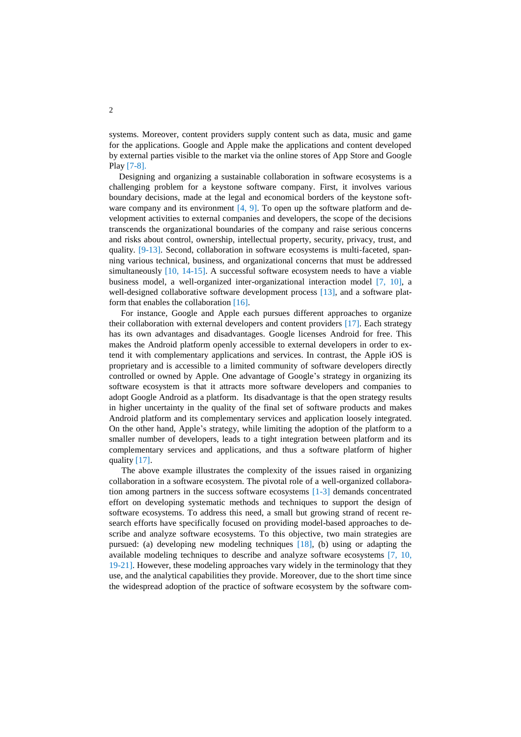systems. Moreover, content providers supply content such as data, music and game for the applications. Google and Apple make the applications and content developed by external parties visible to the market via the online stores of App Store and Google Play [7-8].

Designing and organizing a sustainable collaboration in software ecosystems is a challenging problem for a keystone software company. First, it involves various boundary decisions, made at the legal and economical borders of the keystone software company and its environment  $[4, 9]$ . To open up the software platform and development activities to external companies and developers, the scope of the decisions transcends the organizational boundaries of the company and raise serious concerns and risks about control, ownership, intellectual property, security, privacy, trust, and quality. [9-13]. Second, collaboration in software ecosystems is multi-faceted, spanning various technical, business, and organizational concerns that must be addressed simultaneously [10, 14-15]. A successful software ecosystem needs to have a viable business model, a well-organized inter-organizational interaction model [7, 10], a well-designed collaborative software development process [13], and a software platform that enables the collaboration [16].

For instance, Google and Apple each pursues different approaches to organize their collaboration with external developers and content providers [17]. Each strategy has its own advantages and disadvantages. Google licenses Android for free. This makes the Android platform openly accessible to external developers in order to extend it with complementary applications and services. In contrast, the Apple iOS is proprietary and is accessible to a limited community of software developers directly controlled or owned by Apple. One advantage of Google's strategy in organizing its software ecosystem is that it attracts more software developers and companies to adopt Google Android as a platform. Its disadvantage is that the open strategy results in higher uncertainty in the quality of the final set of software products and makes Android platform and its complementary services and application loosely integrated. On the other hand, Apple's strategy, while limiting the adoption of the platform to a smaller number of developers, leads to a tight integration between platform and its complementary services and applications, and thus a software platform of higher quality [17].

The above example illustrates the complexity of the issues raised in organizing collaboration in a software ecosystem. The pivotal role of a well-organized collaboration among partners in the success software ecosystems [1-3] demands concentrated effort on developing systematic methods and techniques to support the design of software ecosystems. To address this need, a small but growing strand of recent research efforts have specifically focused on providing model-based approaches to describe and analyze software ecosystems. To this objective, two main strategies are pursued: (a) developing new modeling techniques [18], (b) using or adapting the available modeling techniques to describe and analyze software ecosystems [7, 10, 19-21]. However, these modeling approaches vary widely in the terminology that they use, and the analytical capabilities they provide. Moreover, due to the short time since the widespread adoption of the practice of software ecosystem by the software com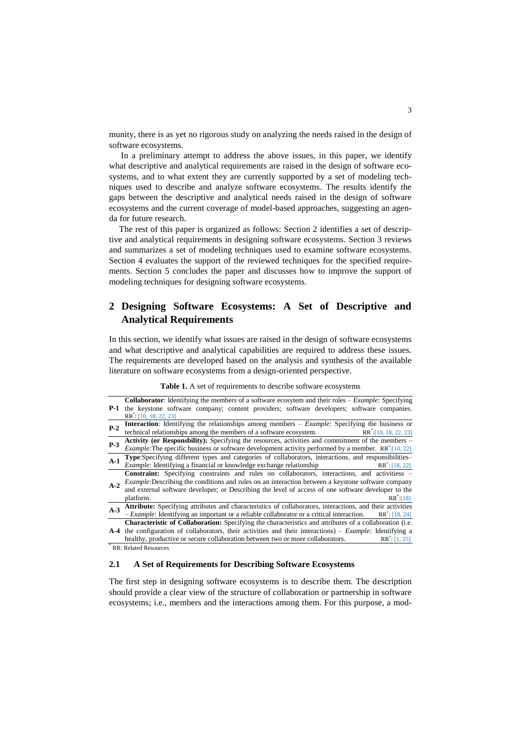munity, there is as yet no rigorous study on analyzing the needs raised in the design of software ecosystems.

In a preliminary attempt to address the above issues, in this paper, we identify what descriptive and analytical requirements are raised in the design of software ecosystems, and to what extent they are currently supported by a set of modeling techniques used to describe and analyze software ecosystems. The results identify the gaps between the descriptive and analytical needs raised in the design of software ecosystems and the current coverage of model-based approaches, suggesting an agenda for future research.

The rest of this paper is organized as follows: Section 2 identifies a set of descriptive and analytical requirements in designing software ecosystems. Section 3 reviews and summarizes a set of modeling techniques used to examine software ecosystems. Section 4 evaluates the support of the reviewed techniques for the specified requirements. Section 5 concludes the paper and discusses how to improve the support of modeling techniques for designing software ecosystems.

# **2 Designing Software Ecosystems: A Set of Descriptive and Analytical Requirements**

In this section, we identify what issues are raised in the design of software ecosystems and what descriptive and analytical capabilities are required to address these issues. The requirements are developed based on the analysis and synthesis of the available literature on software ecosystems from a design-oriented perspective.

**Table 1.** A set of requirements to describe software ecosystems

|            | <b>Collaborator:</b> Identifying the members of a software ecosytem and their roles $-$ <i>Example:</i> Specifying                                                                                                                            |
|------------|-----------------------------------------------------------------------------------------------------------------------------------------------------------------------------------------------------------------------------------------------|
| <b>P-1</b> | the keystone software company; content providers; software developers; software companies.                                                                                                                                                    |
|            | $RR^*$ : [10, 18, 22, 23]                                                                                                                                                                                                                     |
| $P-2$      | <b>Interaction</b> : Identifying the relationships among members $-$ <i>Example:</i> Specifying the business or                                                                                                                               |
|            | technical relationships among the members of a software ecosystem. RR <sup>*</sup> :[10, 18, 22, 23]                                                                                                                                          |
| $P-3$      | <b>Activity (or Responsbility):</b> Specifying the resources, activities and commitment of the members –                                                                                                                                      |
|            | <i>Example:</i> The specific business or software development activity performed by a member. RR <sup>*</sup> :[10, 22]                                                                                                                       |
| $A-1$      | <b>Type:</b> Specifying different types and categories of collaborators, interactions, and responsibilities–                                                                                                                                  |
|            | <i>Example:</i> Identifying a financial or knowledge exchange relationship<br>$RR^{\ast}$ : [18, 22]                                                                                                                                          |
|            | <b>Constraint:</b> Specifying constraints and rules on collaborators, interactions, and activitiess –                                                                                                                                         |
| $A-2$      |                                                                                                                                                                                                                                               |
|            | <i>Example:</i> Describing the conditions and rules on an interaction between a keystone software company and external software developer; or Describing the level of access of one software developer to the                                 |
|            | $RR^*: [18]$<br>platform.                                                                                                                                                                                                                     |
| $A-3$      |                                                                                                                                                                                                                                               |
|            | <b>Attribute:</b> Specifying attributes and characteristics of collaborators, interactions, and their activities – <i>Example</i> : Identifying an important or a reliable collaborator or a critical interaction. RR <sup>*</sup> : [18, 24] |
|            | <b>Characteristic of Collaboration:</b> Specifying the characteristics and attributes of a collaboration (i.e.                                                                                                                                |
| $A-4$      | the configuration of collaborators, their activities and their interactions) – Example: Identifying a                                                                                                                                         |
|            | healthy, productive or secure collaboration between two or more collaborators.<br>$RR^{\dagger}$ : [1, 25]                                                                                                                                    |

\* RR: Related Resources

#### **2.1 A Set of Requirements for Describing Software Ecosystems**

The first step in designing software ecosystems is to describe them. The description should provide a clear view of the structure of collaboration or partnership in software ecosystems; i.e., members and the interactions among them. For this purpose, a mod-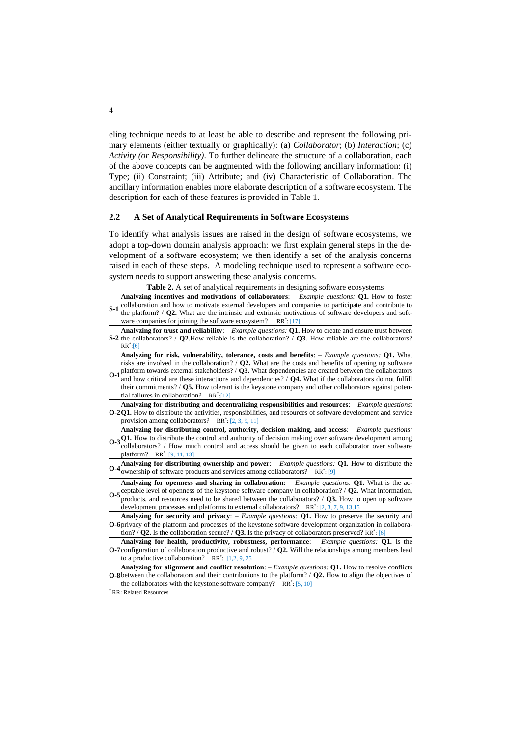eling technique needs to at least be able to describe and represent the following primary elements (either textually or graphically): (a) *Collaborator*; (b) *Interaction*; (c) *Activity (or Responsibility)*. To further delineate the structure of a collaboration, each of the above concepts can be augmented with the following ancillary information: (i) Type; (ii) Constraint; (iii) Attribute; and (iv) Characteristic of Collaboration. The ancillary information enables more elaborate description of a software ecosystem. The description for each of these features is provided in Table 1.

#### **2.2 A Set of Analytical Requirements in Software Ecosystems**

To identify what analysis issues are raised in the design of software ecosystems, we adopt a top-down domain analysis approach: we first explain general steps in the development of a software ecosystem; we then identify a set of the analysis concerns raised in each of these steps. A modeling technique used to represent a software ecosystem needs to support answering these analysis concerns.

**Table 2.** A set of analytical requirements in designing software ecosystems

 $S-1$  collaboration and how to motivate external developers and companies to participate and contribute to  $\frac{1}{2}$ , the aletternal ( $\Omega$ ). What are the intrinsic and articipate participate of extense developers and set **Analyzing incentives and motivations of collaborators**: – *Example questions:* **Q1.** How to foster the platform? / **Q2.** What are the intrinsic and extrinsic motivations of software developers and software companies for joining the software ecosystem? RR<sup>\*</sup>: [17]

**S-2** the collaborators? / **Q2.**How reliable is the collaboration? / **Q3.** How reliable are the collaborators? **Analyzing for trust and reliability**: – *Example questions:* **Q1.** How to create and ensure trust between RR\* :[6]

**Analyzing for risk, vulnerability, tolerance, costs and benefits**: – *Example questions:* **Q1.** What risks are involved in the collaboration? / **Q2.** What are the costs and benefits of opening up software

 $O-1$ <sup>p</sup>latform towards external stakeholders? /  $Q3$ . What dependencies are created between the collaborators  $\frac{1}{2}$ and how critical are these interactions and dependencies? / **Q4.** What if the collaborators do not fulfill their commitments? / **Q5.** How tolerant is the keystone company and other collaborators against potential failures in collaboration? RR\* :[12]

**O-2 Q1.** How to distribute the activities, responsibilities, and resources of software development and service **Analyzing for distributing and decentralizing responsibilities and resources**: – *Example questions*: provision among collaborators? RR<sup>\*</sup>: [2, 3, 9, 11]

 $\mathbf{0.3}$  Q1. How to distribute the control and authority of decision making over software development among  $\mathbf{0.3}$  C1. How the spatial and aggregate with the since the spatial hosting supportion of the set of the si **Analyzing for distributing control, authority, decision making, and access**: – *Example questions:* collaborators? / How much control and access should be given to each collaborator over software platform? RR\* : [9, 11, 13]

**O-4** Analyzing for distributing ownership and power:  $-$  *Example questions:* Q1. How to distribute the councretion of software products and services among collaborators?  $\mathbb{R}^{p^* \cdot q}$ ownership of software products and services among collaborators? RR\*: [9]

**O-5** ceptable level of openness of the keystone software company in collaboration? / **Q2.** What information, **Analyzing for openness and sharing in collaboration:** – *Example questions:* **Q1.** What is the acproducts, and resources need to be shared between the collaborators? / **Q3.** How to open up software development processes and platforms to external collaborators?  $RR^*$ : [2, 3, 7, 9, 13,15]

**O-6** privacy of the platform and processes of the keystone software development organization in collabora-**Analyzing for security and privacy**: – *Example questions:* **Q1.** How to preserve the security and tion?  $\sqrt{Q^2}$ . Is the collaboration secure?  $\sqrt{Q^2}$ . Is the privacy of collaborators preserved? RR<sup>\*</sup>: [6]

**O-7** configuration of collaboration productive and robust? / **Q2.** Will the relationships among members lead **Analyzing for health, productivity, robustness, performance**: – *Example questions:* **Q1.** Is the to a productive collaboration?  $RR^*$ : [1,2, 9, 25]

**O-8** between the collaborators and their contributions to the platform? / **Q2.** How to align the objectives of **Analyzing for alignment and conflict resolution**: – *Example questions:* **Q1.** How to resolve conflicts the collaborators with the keystone software company? RR<sup>\*</sup>: [5, 10]

\* RR: Related Resources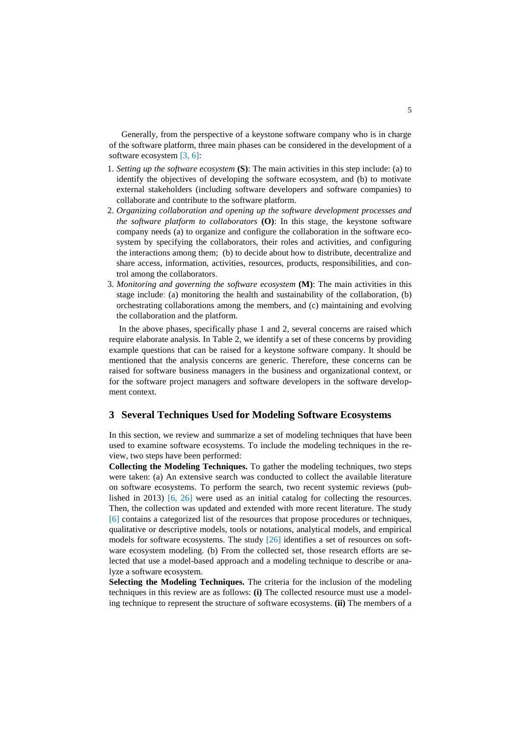Generally, from the perspective of a keystone software company who is in charge of the software platform, three main phases can be considered in the development of a software ecosystem [3, 6]:

- 1. *Setting up the software ecosystem* **(S)**: The main activities in this step include: (a) to identify the objectives of developing the software ecosystem, and (b) to motivate external stakeholders (including software developers and software companies) to collaborate and contribute to the software platform.
- 2. *Organizing collaboration and opening up the software development processes and the software platform to collaborators* **(O)**: In this stage, the keystone software company needs (a) to organize and configure the collaboration in the software ecosystem by specifying the collaborators, their roles and activities, and configuring the interactions among them; (b) to decide about how to distribute, decentralize and share access, information, activities, resources, products, responsibilities, and control among the collaborators.
- 3. *Monitoring and governing the software ecosystem* **(M)**: The main activities in this stage include: (a) monitoring the health and sustainability of the collaboration, (b) orchestrating collaborations among the members, and (c) maintaining and evolving the collaboration and the platform.

In the above phases, specifically phase 1 and 2, several concerns are raised which require elaborate analysis. In Table 2, we identify a set of these concerns by providing example questions that can be raised for a keystone software company. It should be mentioned that the analysis concerns are generic. Therefore, these concerns can be raised for software business managers in the business and organizational context, or for the software project managers and software developers in the software development context.

### **3 Several Techniques Used for Modeling Software Ecosystems**

In this section, we review and summarize a set of modeling techniques that have been used to examine software ecosystems. To include the modeling techniques in the review, two steps have been performed:

**Collecting the Modeling Techniques.** To gather the modeling techniques, two steps were taken: (a) An extensive search was conducted to collect the available literature on software ecosystems. To perform the search, two recent systemic reviews (published in 2013) [6, 26] were used as an initial catalog for collecting the resources. Then, the collection was updated and extended with more recent literature. The study [6] contains a categorized list of the resources that propose procedures or techniques, qualitative or descriptive models, tools or notations, analytical models, and empirical models for software ecosystems. The study [26] identifies a set of resources on software ecosystem modeling. (b) From the collected set, those research efforts are selected that use a model-based approach and a modeling technique to describe or analyze a software ecosystem.

**Selecting the Modeling Techniques.** The criteria for the inclusion of the modeling techniques in this review are as follows: **(i)** The collected resource must use a modeling technique to represent the structure of software ecosystems. **(ii)** The members of a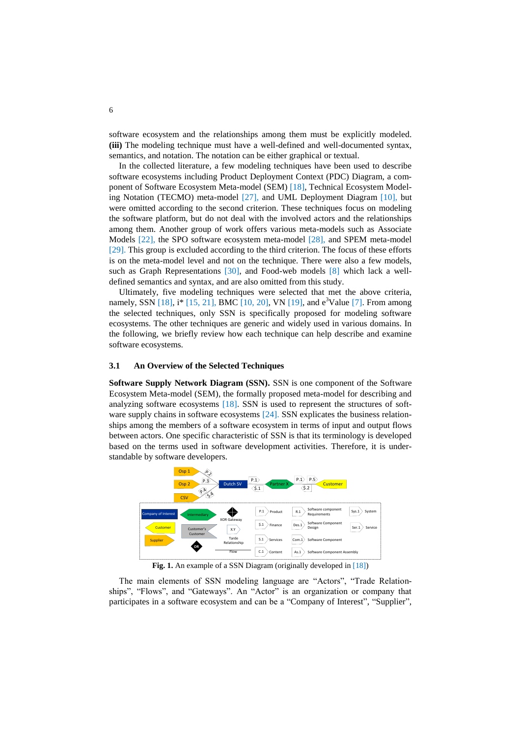software ecosystem and the relationships among them must be explicitly modeled. **(iii)** The modeling technique must have a well-defined and well-documented syntax, semantics, and notation. The notation can be either graphical or textual.

In the collected literature, a few modeling techniques have been used to describe software ecosystems including Product Deployment Context (PDC) Diagram, a component of Software Ecosystem Meta-model (SEM) [18], Technical Ecosystem Modeling Notation (TECMO) meta-model [27], and UML Deployment Diagram [10], but were omitted according to the second criterion. These techniques focus on modeling the software platform, but do not deal with the involved actors and the relationships among them. Another group of work offers various meta-models such as Associate Models [22], the SPO software ecosystem meta-model [28], and SPEM meta-model [29]. This group is excluded according to the third criterion. The focus of these efforts is on the meta-model level and not on the technique. There were also a few models, such as Graph Representations [30], and Food-web models [8] which lack a welldefined semantics and syntax, and are also omitted from this study.

Ultimately, five modeling techniques were selected that met the above criteria, namely, SSN [18], i\* [15, 21], BMC [10, 20], VN [19], and  $e^{3}$ Value [7]. From among the selected techniques, only SSN is specifically proposed for modeling software ecosystems. The other techniques are generic and widely used in various domains. In the following, we briefly review how each technique can help describe and examine software ecosystems.

#### **3.1 An Overview of the Selected Techniques**

**Software Supply Network Diagram (SSN).** SSN is one component of the Software Ecosystem Meta-model (SEM), the formally proposed meta-model for describing and analyzing software ecosystems [18]. SSN is used to represent the structures of software supply chains in software ecosystems [24]. SSN explicates the business relationships among the members of a software ecosystem in terms of input and output flows between actors. One specific characteristic of SSN is that its terminology is developed based on the terms used in software development activities. Therefore, it is understandable by software developers.



Fig. 1. An example of a SSN Diagram (originally developed in [18])

The main elements of SSN modeling language are "Actors", "Trade Relationships", "Flows", and "Gateways". An "Actor" is an organization or company that participates in a software ecosystem and can be a "Company of Interest", "Supplier",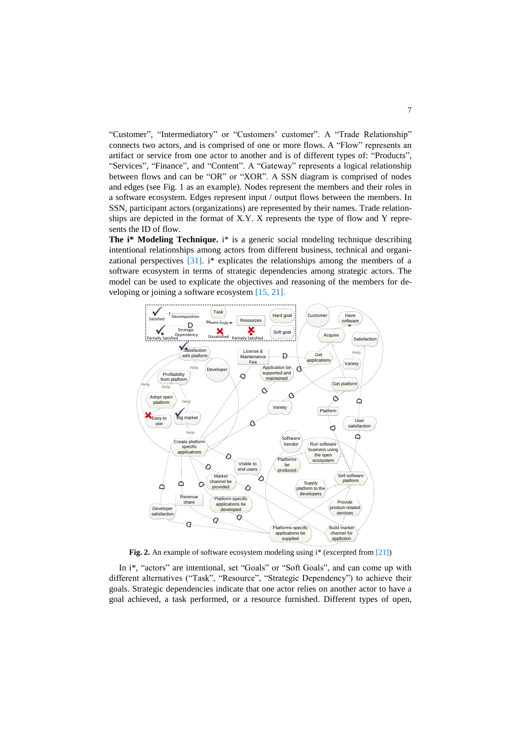"Customer", "Intermediatory" or "Customers' customer". A "Trade Relationship" connects two actors, and is comprised of one or more flows. A "Flow" represents an artifact or service from one actor to another and is of different types of: "Products", "Services", "Finance", and "Content". A "Gateway" represents a logical relationship between flows and can be "OR" or "XOR". A SSN diagram is comprised of nodes and edges (see Fig. 1 as an example). Nodes represent the members and their roles in a software ecosystem. Edges represent input / output flows between the members. In SSN, participant actors (organizations) are represented by their names. Trade relationships are depicted in the format of X.Y. X represents the type of flow and Y represents the ID of flow.

**The i\* Modeling Technique.** i\* is a generic social modeling technique describing intentional relationships among actors from different business, technical and organizational perspectives  $[31]$ . i\* explicates the relationships among the members of a software ecosystem in terms of strategic dependencies among strategic actors. The model can be used to explicate the objectives and reasoning of the members for developing or joining a software ecosystem [15, 21].



**Fig. 2.** An example of software ecosystem modeling using i<sup>\*</sup> (excerpted from [21])

In i\*, "actors" are intentional, set "Goals" or "Soft Goals", and can come up with different alternatives ("Task", "Resource", "Strategic Dependency") to achieve their goals. Strategic dependencies indicate that one actor relies on another actor to have a goal achieved, a task performed, or a resource furnished. Different types of open,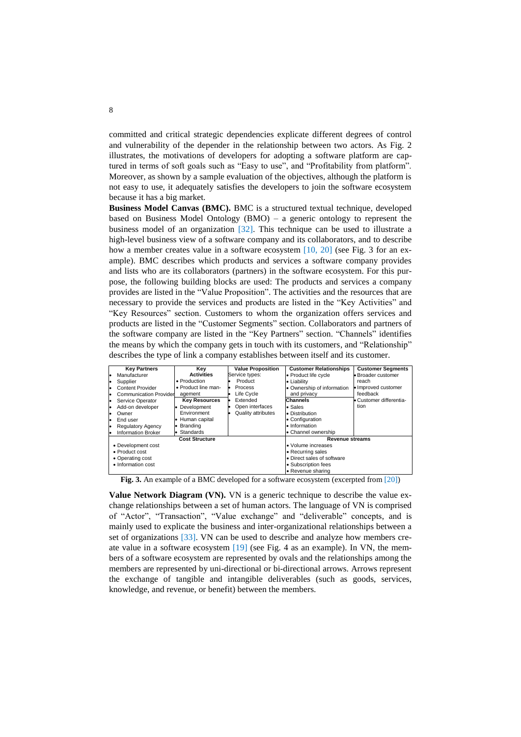committed and critical strategic dependencies explicate different degrees of control and vulnerability of the depender in the relationship between two actors. As Fig. 2 illustrates, the motivations of developers for adopting a software platform are captured in terms of soft goals such as "Easy to use", and "Profitability from platform". Moreover, as shown by a sample evaluation of the objectives, although the platform is not easy to use, it adequately satisfies the developers to join the software ecosystem because it has a big market.

**Business Model Canvas (BMC).** BMC is a structured textual technique, developed based on Business Model Ontology (BMO) – a generic ontology to represent the business model of an organization [32]. This technique can be used to illustrate a high-level business view of a software company and its collaborators, and to describe how a member creates value in a software ecosystem  $[10, 20]$  (see Fig. 3 for an example). BMC describes which products and services a software company provides and lists who are its collaborators (partners) in the software ecosystem. For this purpose, the following building blocks are used: The products and services a company provides are listed in the "Value Proposition". The activities and the resources that are necessary to provide the services and products are listed in the "Key Activities" and "Key Resources" section. Customers to whom the organization offers services and products are listed in the "Customer Segments" section. Collaborators and partners of the software company are listed in the "Key Partners" section. "Channels" identifies the means by which the company gets in touch with its customers, and "Relationship" describes the type of link a company establishes between itself and its customer.

|    | <b>Key Partners</b>           | Key                   | <b>Value Proposition</b>   | <b>Customer Relationships</b> | <b>Customer Segments</b> |  |  |
|----|-------------------------------|-----------------------|----------------------------|-------------------------------|--------------------------|--|--|
| I۰ | Manufacturer                  | <b>Activities</b>     | Service types:             | • Product life cycle          | · Broader customer       |  |  |
| ю  | Supplier                      | • Production          | Product                    | • Liability                   | reach                    |  |  |
| le | <b>Content Provider</b>       | • Product line man-   | <b>Process</b>             | • Ownership of information    | · Improved customer      |  |  |
|    | <b>Communication Provider</b> | agement               | Life Cycle                 | and privacy                   | feedback                 |  |  |
| ю  | Service Operator              | <b>Key Resources</b>  | Extended<br>le.            | <b>Channels</b>               | • Customer differentia-  |  |  |
| le | Add-on developer              | • Development         | Open interfaces            | • Sales                       | tion                     |  |  |
| le | Owner                         | Environment           | Quality attributes         | • Distribution                |                          |  |  |
| l٠ | End user                      | • Human capital       |                            | • Configuration               |                          |  |  |
| le | <b>Regulatory Agency</b>      | • Branding            |                            | • Information                 |                          |  |  |
| I۰ | <b>Information Broker</b>     | • Standards           |                            | • Channel ownership           |                          |  |  |
|    |                               | <b>Cost Structure</b> |                            | <b>Revenue streams</b>        |                          |  |  |
|    | • Development cost            |                       |                            | · Volume increases            |                          |  |  |
|    | • Product cost                |                       | • Recurring sales          |                               |                          |  |  |
|    | • Operating cost              |                       | • Direct sales of software |                               |                          |  |  |
|    | • Information cost            |                       | • Subscription fees        |                               |                          |  |  |
|    |                               |                       |                            | • Revenue sharing             |                          |  |  |

**Fig. 3.** An example of a BMC developed for a software ecosystem (excerpted from [20])

**Value Network Diagram (VN).** VN is a generic technique to describe the value exchange relationships between a set of human actors. The language of VN is comprised of "Actor", "Transaction", "Value exchange" and "deliverable" concepts, and is mainly used to explicate the business and inter-organizational relationships between a set of organizations [33]. VN can be used to describe and analyze how members create value in a software ecosystem [19] (see Fig. 4 as an example). In VN, the members of a software ecosystem are represented by ovals and the relationships among the members are represented by uni-directional or bi-directional arrows. Arrows represent the exchange of tangible and intangible deliverables (such as goods, services, knowledge, and revenue, or benefit) between the members.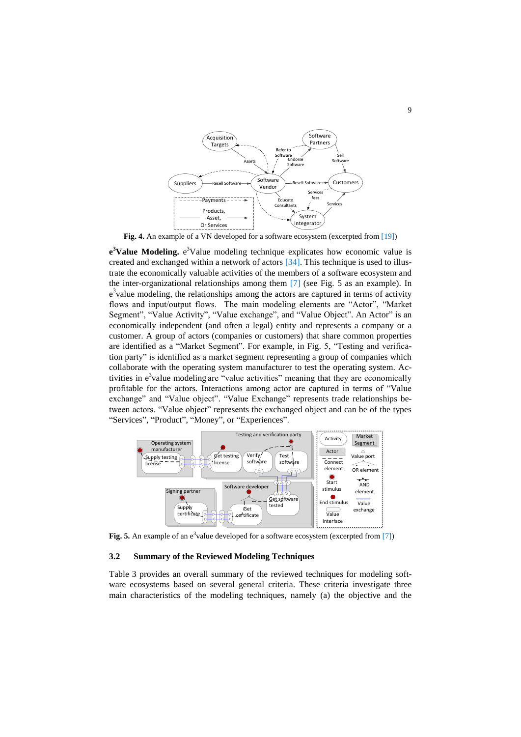

**Fig. 4.** An example of a VN developed for a software ecosystem (excerpted from [19])

e<sup>3</sup>Value Modeling. e<sup>3</sup>Value modeling technique explicates how economic value is created and exchanged within a network of actors [34]. This technique is used to illustrate the economically valuable activities of the members of a software ecosystem and the inter-organizational relationships among them [7] (see Fig. 5 as an example). In  $e<sup>3</sup>$  value modeling, the relationships among the actors are captured in terms of activity flows and input/output flows. The main modeling elements are "Actor", "Market Segment", "Value Activity", "Value exchange", and "Value Object". An Actor" is an economically independent (and often a legal) entity and represents a company or a customer. A group of actors (companies or customers) that share common properties are identified as a "Market Segment". For example, in Fig. 5, "Testing and verification party" is identified as a market segment representing a group of companies which collaborate with the operating system manufacturer to test the operating system. Activities in  $e<sup>3</sup>$  value modeling are "value activities" meaning that they are economically profitable for the actors. Interactions among actor are captured in terms of "Value exchange" and "Value object". "Value Exchange" represents trade relationships between actors. "Value object" represents the exchanged object and can be of the types "Services", "Product", "Money", or "Experiences".



**Fig. 5.** An example of an  $e^{3}$ value developed for a software ecosystem (excerpted from [7])

#### **3.2 Summary of the Reviewed Modeling Techniques**

Table 3 provides an overall summary of the reviewed techniques for modeling software ecosystems based on several general criteria. These criteria investigate three main characteristics of the modeling techniques, namely (a) the objective and the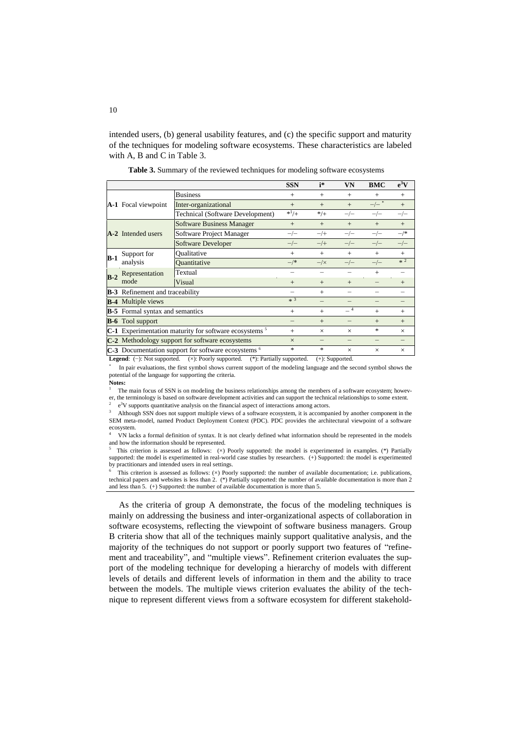intended users, (b) general usability features, and (c) the specific support and maturity of the techniques for modeling software ecosystems. These characteristics are labeled with A, B and C in Table 3.

|                                                                                             |                                                                                                                                                                                          |                                         | <b>SSN</b>       | i*        | VN          | <b>BMC</b> | $e^3V$   |  |  |  |
|---------------------------------------------------------------------------------------------|------------------------------------------------------------------------------------------------------------------------------------------------------------------------------------------|-----------------------------------------|------------------|-----------|-------------|------------|----------|--|--|--|
|                                                                                             |                                                                                                                                                                                          |                                         |                  |           |             |            |          |  |  |  |
|                                                                                             |                                                                                                                                                                                          | <b>Business</b>                         | $+$              | $+$       | $+$         | $^{+}$     | $+$      |  |  |  |
|                                                                                             | <b>A-1</b> Focal viewpoint                                                                                                                                                               | Inter-organizational                    | $+$              | $+$       | $+$         | $-/-$      | $+$      |  |  |  |
|                                                                                             |                                                                                                                                                                                          | <b>Technical (Software Development)</b> | $*^{1}/+$        | $* / _+$  | $-\prime -$ | $-\prime-$ | $-/-$    |  |  |  |
|                                                                                             |                                                                                                                                                                                          | <b>Software Business Manager</b>        | $+$              | $+$       | $+$         | $+$        | $+$      |  |  |  |
|                                                                                             | A-2 Intended users                                                                                                                                                                       | Software Project Manager                | $-/-$            | $-/+$     | $-\prime -$ | $-/-$      | $-$ /*   |  |  |  |
|                                                                                             |                                                                                                                                                                                          | <b>Software Developer</b>               | $-/-$            | $-/+$     | $-/-$       | $-/-$      | $-/-$    |  |  |  |
| $B-1$                                                                                       | Support for                                                                                                                                                                              | Oualitative                             | $+$              | $+$       | $+$         | $+$        | $+$      |  |  |  |
|                                                                                             | analysis                                                                                                                                                                                 | <b>Quantitative</b>                     | $-$ /*           | $-\times$ | $-/-$       | $-/-$      | $*^2$    |  |  |  |
| $B-2$                                                                                       | Representation                                                                                                                                                                           | Textual                                 |                  |           |             | $+$        |          |  |  |  |
|                                                                                             | mode                                                                                                                                                                                     | Visual                                  | $+$              | $+$       | $+$         |            | $+$      |  |  |  |
|                                                                                             | <b>B-3</b> Refinement and traceability                                                                                                                                                   |                                         |                  | $+$       |             |            |          |  |  |  |
|                                                                                             | <b>B-4</b> Multiple views                                                                                                                                                                |                                         | $*$ <sup>3</sup> |           |             |            |          |  |  |  |
|                                                                                             | <b>B-5</b> Formal syntax and semantics                                                                                                                                                   |                                         | $+$              | $+$       | $-4$        | $^{+}$     | $+$      |  |  |  |
|                                                                                             | <b>B-6</b> Tool support                                                                                                                                                                  |                                         |                  | $+$       |             | $+$        | $+$      |  |  |  |
|                                                                                             | C-1 Experimentation maturity for software ecosystems <sup>5</sup>                                                                                                                        |                                         |                  | $\times$  | $\times$    | $\ast$     | $\times$ |  |  |  |
|                                                                                             | <b>C-2</b> Methodology support for software ecosystems                                                                                                                                   | $\times$                                |                  |           |             |            |          |  |  |  |
| C-3 Documentation support for software ecosystems <sup>6</sup><br>$\ast$<br>$*$<br>$\times$ |                                                                                                                                                                                          |                                         |                  |           |             | $\times$   | $\times$ |  |  |  |
|                                                                                             | $\mathbf{r} = \mathbf{1}$ and $\mathbf{r} = \mathbf{r}$ and $\mathbf{r} = \mathbf{r}$ and $\mathbf{r} = \mathbf{r}$ and $\mathbf{r} = \mathbf{r}$<br>$\sqrt{2}$<br>$\sim$ 1<br>$\cdot$ 1 |                                         |                  |           |             |            |          |  |  |  |

**Table 3.** Summary of the reviewed techniques for modeling software ecosystems

**Legend**: (−): Not supported. (×): Poorly supported. (\*): Partially supported. (+): Supported.

In pair evaluations, the first symbol shows current support of the modeling language and the second symbol shows the potential of the language for supporting the criteria.

**Notes:**

The main focus of SSN is on modeling the business relationships among the members of a software ecosystem; however, the terminology is based on software development activities and can support the technical relationships to some extent.

 $2^e$  e<sup>3</sup>V supports quantitative analysis on the financial aspect of interactions among actors.

<sup>3</sup>Although SSN does not support multiple views of a software ecosystem, it is accompanied by another component in the SEM meta-model, named Product Deployment Context (PDC). PDC provides the architectural viewpoint of a software ecosystem.

VN lacks a formal definition of syntax. It is not clearly defined what information should be represented in the models and how the information should be represented.

<sup>5</sup>This criterion is assessed as follows: (×) Poorly supported: the model is experimented in examples. (\*) Partially supported: the model is experimented in real-world case studies by researchers. (+) Supported: the model is experimented by practitionars and intended users in real settings.

6 This criterion is assessed as follows:  $(\times)$  Poorly supported: the number of available documentation; i.e. publications, technical papers and websites is less than 2. (\*) Partially supported: the number of available documentation is more than 2 and less than 5. (+) Supported: the number of available documentation is more than 5.

As the criteria of group A demonstrate, the focus of the modeling techniques is mainly on addressing the business and inter-organizational aspects of collaboration in software ecosystems, reflecting the viewpoint of software business managers. Group B criteria show that all of the techniques mainly support qualitative analysis, and the majority of the techniques do not support or poorly support two features of "refinement and traceability", and "multiple views". Refinement criterion evaluates the support of the modeling technique for developing a hierarchy of models with different levels of details and different levels of information in them and the ability to trace between the models. The multiple views criterion evaluates the ability of the technique to represent different views from a software ecosystem for different stakehold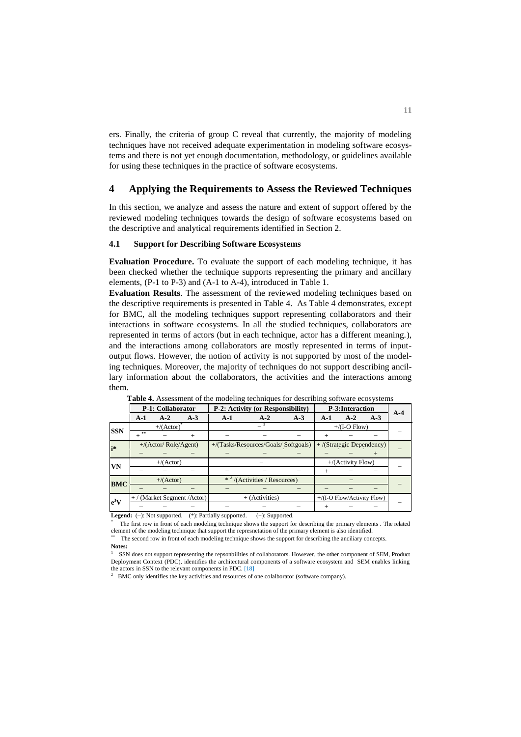ers. Finally, the criteria of group C reveal that currently, the majority of modeling techniques have not received adequate experimentation in modeling software ecosystems and there is not yet enough documentation, methodology, or guidelines available for using these techniques in the practice of software ecosystems.

# **4 Applying the Requirements to Assess the Reviewed Techniques**

In this section, we analyze and assess the nature and extent of support offered by the reviewed modeling techniques towards the design of software ecosystems based on the descriptive and analytical requirements identified in Section 2.

#### **4.1 Support for Describing Software Ecosystems**

**Evaluation Procedure.** To evaluate the support of each modeling technique, it has been checked whether the technique supports representing the primary and ancillary elements, (P-1 to P-3) and (A-1 to A-4), introduced in Table 1.

**Evaluation Results**. The assessment of the reviewed modeling techniques based on the descriptive requirements is presented in Table 4. As Table 4 demonstrates, except for BMC, all the modeling techniques support representing collaborators and their interactions in software ecosystems. In all the studied techniques, collaborators are represented in terms of actors (but in each technique, actor has a different meaning.), and the interactions among collaborators are mostly represented in terms of inputoutput flows. However, the notion of activity is not supported by most of the modeling techniques. Moreover, the majority of techniques do not support describing ancillary information about the collaborators, the activities and the interactions among them.

|            | P-1: Collaborator |                          |           | P-2: Activity (or Responsibility) |                                      |       | P-3: Interaction |                               |       | $A-4$ |
|------------|-------------------|--------------------------|-----------|-----------------------------------|--------------------------------------|-------|------------------|-------------------------------|-------|-------|
|            | $A-1$             | $A-2$                    | $A-3$     | $A-1$                             | $A-2$                                | $A-3$ | $A-1$            | $A-2$                         | $A-3$ |       |
|            |                   | $+/(Actor)^{n}$          |           |                                   |                                      |       |                  | $+/$ (I-O Flow)               |       |       |
| <b>SSN</b> | **                |                          | $\ddot{}$ |                                   |                                      |       |                  |                               |       |       |
| $i*$       |                   | $+/$ (Actor/Role/Agent)  |           |                                   | +/(Tasks/Resources/Goals/ Softgoals) |       |                  | $+$ /(Strategic Dependency)   |       |       |
|            |                   |                          |           |                                   |                                      |       |                  |                               |       |       |
| VN         |                   | $+/$ (Actor)             |           |                                   |                                      |       |                  | $+/$ (Activity Flow)          |       |       |
|            |                   |                          |           |                                   |                                      |       |                  |                               |       |       |
| <b>BMC</b> |                   | $+/(Actor)$              |           |                                   | $*^{2}$ /(Activities / Resources)    |       |                  |                               |       |       |
|            |                   |                          |           |                                   |                                      |       |                  |                               |       |       |
| $e^3V$     |                   | +/(Market Segment/Actor) |           |                                   | + (Activities)                       |       |                  | $+/$ (I-O Flow/Activity Flow) |       |       |
|            |                   |                          |           |                                   |                                      |       |                  |                               |       |       |

**Table 4.** Assessment of the modeling techniques for describing software ecosystems

Legend: (−): Not supported. (\*): Partially supported. (+): Supported.

The second row in front of each modeling technique shows the support for describing the anciliary concepts. **Notes:**

SSN does not support representing the repsonbilities of collaborators. However, the other component of SEM, Product Deployment Context (PDC), identifies the architectural components of a software ecosystem and SEM enables linking the actors in SSN to the relevant components in PDC. [18]

<sup>2</sup>BMC only identifies the key activities and resources of one colalborator (software company).

The first row in front of each modeling technique shows the support for describing the primary elements . The related element of the modeling technique that support the represnetation of the primary element is also identified.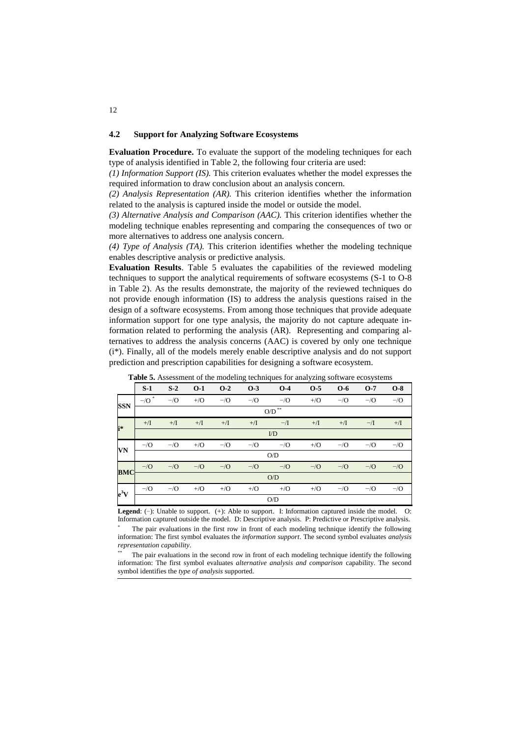#### **4.2 Support for Analyzing Software Ecosystems**

**Evaluation Procedure.** To evaluate the support of the modeling techniques for each type of analysis identified in Table 2, the following four criteria are used:

*(1) Information Support (IS).* This criterion evaluates whether the model expresses the required information to draw conclusion about an analysis concern.

*(2) Analysis Representation (AR).* This criterion identifies whether the information related to the analysis is captured inside the model or outside the model.

*(3) Alternative Analysis and Comparison (AAC).* This criterion identifies whether the modeling technique enables representing and comparing the consequences of two or more alternatives to address one analysis concern.

*(4) Type of Analysis (TA).* This criterion identifies whether the modeling technique enables descriptive analysis or predictive analysis.

**Evaluation Results**. Table 5 evaluates the capabilities of the reviewed modeling techniques to support the analytical requirements of software ecosystems (S-1 to O-8 in Table 2). As the results demonstrate, the majority of the reviewed techniques do not provide enough information (IS) to address the analysis questions raised in the design of a software ecosystems. From among those techniques that provide adequate information support for one type analysis, the majority do not capture adequate information related to performing the analysis (AR). Representing and comparing alternatives to address the analysis concerns (AAC) is covered by only one technique (i\*). Finally, all of the models merely enable descriptive analysis and do not support prediction and prescription capabilities for designing a software ecosystem.

|                          | <b>Twite of Hoodsment</b> of the modernig teeningues for analyzing software ecosystems |                |                |                |                |             |                |                |             |                |
|--------------------------|----------------------------------------------------------------------------------------|----------------|----------------|----------------|----------------|-------------|----------------|----------------|-------------|----------------|
|                          | $S-1$                                                                                  | $S-2$          | $O-1$          | $O-2$          | $O-3$          | $O-4$       | $O-5$          | $O-6$          | $O-7$       | $O-8$          |
|                          | $-/O^*$                                                                                | $-\sqrt{O}$    | $+$ /O         | $-\sqrt{O}$    | $-\sqrt{O}$    | $-\sqrt{O}$ | $+$ /O         | $-\sqrt{O}$    | $-\sqrt{O}$ | $-\sqrt{O}$    |
| <b>SSN</b>               | $\mathrm{O/D}^{**}$                                                                    |                |                |                |                |             |                |                |             |                |
| i*                       | $+/\mathbf{I}$                                                                         | $+/\mathbf{I}$ | $+/\mathbf{I}$ | $+/\mathbf{I}$ | $+/\mathbf{I}$ | $-\sqrt{I}$ | $+/\mathbf{I}$ | $+/\mathbf{I}$ | $-I$        | $+/\mathbf{I}$ |
|                          | $VD$                                                                                   |                |                |                |                |             |                |                |             |                |
| VN                       | $-\sqrt{O}$                                                                            | $-\sqrt{O}$    | $+$ /O         | $-\sqrt{O}$    | $-\sqrt{O}$    | $-\sqrt{O}$ | $+$ /O         | $-\sqrt{O}$    | $-\sqrt{O}$ | $-\sqrt{O}$    |
|                          | O/D                                                                                    |                |                |                |                |             |                |                |             |                |
| <b>BMC</b>               | $-\sqrt{O}$                                                                            | $-\sqrt{O}$    | $-\sqrt{O}$    | $-\sqrt{O}$    | $-\sqrt{O}$    | $-\sqrt{O}$ | $-\sqrt{O}$    | $-\sqrt{O}$    | $-\sqrt{O}$ | $-\sqrt{O}$    |
|                          | O/D                                                                                    |                |                |                |                |             |                |                |             |                |
| $\mathrm{e}^3\mathrm{V}$ | $-\sqrt{O}$                                                                            | $-\sqrt{O}$    | $+$ /O         | $+$ /O         | $+$ /O         | $+$ /O      | $+$ /O         | $-\sqrt{O}$    | $-\sqrt{O}$ | $-\sqrt{O}$    |
|                          |                                                                                        |                |                |                |                | O/D         |                |                |             |                |

**Table 5.** Assessment of the modeling techniques for analyzing software ecosystems

**Legend**: (−): Unable to support. (+): Able to support. I: Information captured inside the model. O: Information captured outside the model. D: Descriptive analysis. P: Predictive or Prescriptive analysis.

The pair evaluations in the first row in front of each modeling technique identify the following information: The first symbol evaluates the *information support*. The second symbol evaluates *analysis representation capability*.

The pair evaluations in the second row in front of each modeling technique identify the following information: The first symbol evaluates *alternative analysis and comparison* capability. The second symbol identifies the *type of analysis* supported.

12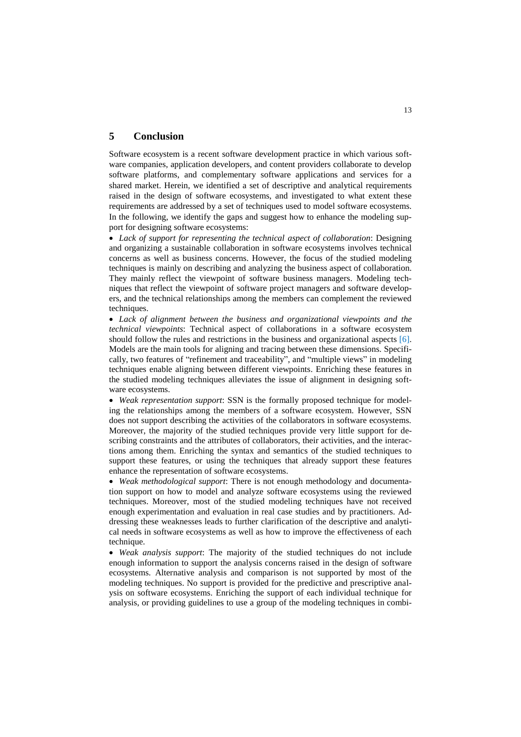# **5 Conclusion**

Software ecosystem is a recent software development practice in which various software companies, application developers, and content providers collaborate to develop software platforms, and complementary software applications and services for a shared market. Herein, we identified a set of descriptive and analytical requirements raised in the design of software ecosystems, and investigated to what extent these requirements are addressed by a set of techniques used to model software ecosystems. In the following, we identify the gaps and suggest how to enhance the modeling support for designing software ecosystems:

 *Lack of support for representing the technical aspect of collaboration*: Designing and organizing a sustainable collaboration in software ecosystems involves technical concerns as well as business concerns. However, the focus of the studied modeling techniques is mainly on describing and analyzing the business aspect of collaboration. They mainly reflect the viewpoint of software business managers. Modeling techniques that reflect the viewpoint of software project managers and software developers, and the technical relationships among the members can complement the reviewed techniques.

 *Lack of alignment between the business and organizational viewpoints and the technical viewpoints*: Technical aspect of collaborations in a software ecosystem should follow the rules and restrictions in the business and organizational aspects [6]. Models are the main tools for aligning and tracing between these dimensions. Specifically, two features of "refinement and traceability", and "multiple views" in modeling techniques enable aligning between different viewpoints. Enriching these features in the studied modeling techniques alleviates the issue of alignment in designing software ecosystems.

 *Weak representation support*: SSN is the formally proposed technique for modeling the relationships among the members of a software ecosystem. However, SSN does not support describing the activities of the collaborators in software ecosystems. Moreover, the majority of the studied techniques provide very little support for describing constraints and the attributes of collaborators, their activities, and the interactions among them. Enriching the syntax and semantics of the studied techniques to support these features, or using the techniques that already support these features enhance the representation of software ecosystems.

 *Weak methodological support*: There is not enough methodology and documentation support on how to model and analyze software ecosystems using the reviewed techniques. Moreover, most of the studied modeling techniques have not received enough experimentation and evaluation in real case studies and by practitioners. Addressing these weaknesses leads to further clarification of the descriptive and analytical needs in software ecosystems as well as how to improve the effectiveness of each technique.

 *Weak analysis support*: The majority of the studied techniques do not include enough information to support the analysis concerns raised in the design of software ecosystems. Alternative analysis and comparison is not supported by most of the modeling techniques. No support is provided for the predictive and prescriptive analysis on software ecosystems. Enriching the support of each individual technique for analysis, or providing guidelines to use a group of the modeling techniques in combi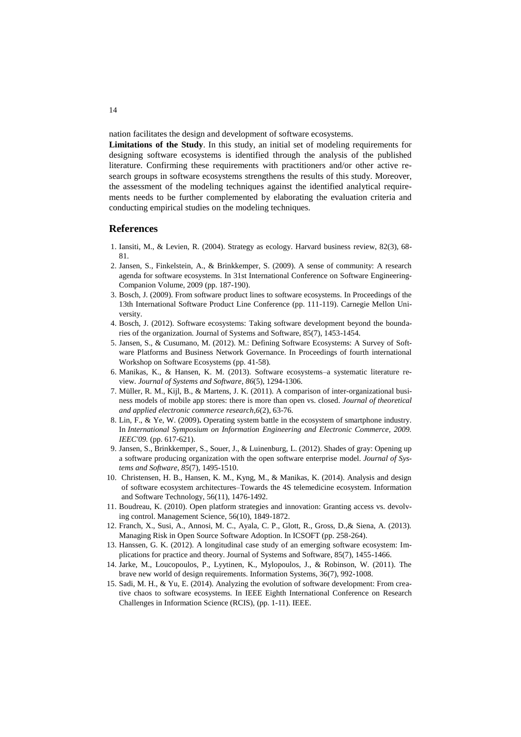nation facilitates the design and development of software ecosystems.

**Limitations of the Study**. In this study, an initial set of modeling requirements for designing software ecosystems is identified through the analysis of the published literature. Confirming these requirements with practitioners and/or other active research groups in software ecosystems strengthens the results of this study. Moreover, the assessment of the modeling techniques against the identified analytical requirements needs to be further complemented by elaborating the evaluation criteria and conducting empirical studies on the modeling techniques.

#### **References**

- 1. Iansiti, M., & Levien, R. (2004). Strategy as ecology. Harvard business review, 82(3), 68- 81.
- 2. Jansen, S., Finkelstein, A., & Brinkkemper, S. (2009). A sense of community: A research agenda for software ecosystems. In 31st International Conference on Software Engineering-Companion Volume, 2009 (pp. 187-190).
- 3. Bosch, J. (2009). From software product lines to software ecosystems. In Proceedings of the 13th International Software Product Line Conference (pp. 111-119). Carnegie Mellon University.
- 4. Bosch, J. (2012). Software ecosystems: Taking software development beyond the boundaries of the organization. Journal of Systems and Software, 85(7), 1453-1454.
- 5. Jansen, S., & Cusumano, M. (2012). M.: Defining Software Ecosystems: A Survey of Software Platforms and Business Network Governance. In Proceedings of fourth international Workshop on Software Ecosystems (pp. 41-58).
- 6. Manikas, K., & Hansen, K. M. (2013). Software ecosystems–a systematic literature review. *Journal of Systems and Software*, *86*(5), 1294-1306.
- 7. Müller, R. M., Kijl, B., & Martens, J. K. (2011). A comparison of inter-organizational business models of mobile app stores: there is more than open vs. closed. *Journal of theoretical and applied electronic commerce research*,*6*(2), 63-76.
- 8. Lin, F., & Ye, W. (2009)**.** Operating system battle in the ecosystem of smartphone industry. In *International Symposium on Information Engineering and Electronic Commerce, 2009. IEEC'09.* (pp. 617-621).
- 9. Jansen, S., Brinkkemper, S., Souer, J., & Luinenburg, L. (2012). Shades of gray: Opening up a software producing organization with the open software enterprise model. *Journal of Systems and Software*, *85*(7), 1495-1510.
- 10. Christensen, H. B., Hansen, K. M., Kyng, M., & Manikas, K. (2014). Analysis and design of software ecosystem architectures–Towards the 4S telemedicine ecosystem. Information and Software Technology, 56(11), 1476-1492.
- 11. Boudreau, K. (2010). Open platform strategies and innovation: Granting access vs. devolving control. Management Science, 56(10), 1849-1872.
- 12. Franch, X., Susi, A., Annosi, M. C., Ayala, C. P., Glott, R., Gross, D.,& Siena, A. (2013). Managing Risk in Open Source Software Adoption. In ICSOFT (pp. 258-264).
- 13. Hanssen, G. K. (2012). A longitudinal case study of an emerging software ecosystem: Implications for practice and theory. Journal of Systems and Software, 85(7), 1455-1466.
- 14. Jarke, M., Loucopoulos, P., Lyytinen, K., Mylopoulos, J., & Robinson, W. (2011). The brave new world of design requirements. Information Systems, 36(7), 992-1008.
- 15. Sadi, M. H., & Yu, E. (2014). Analyzing the evolution of software development: From creative chaos to software ecosystems. In IEEE Eighth International Conference on Research Challenges in Information Science (RCIS), (pp. 1-11). IEEE.

14